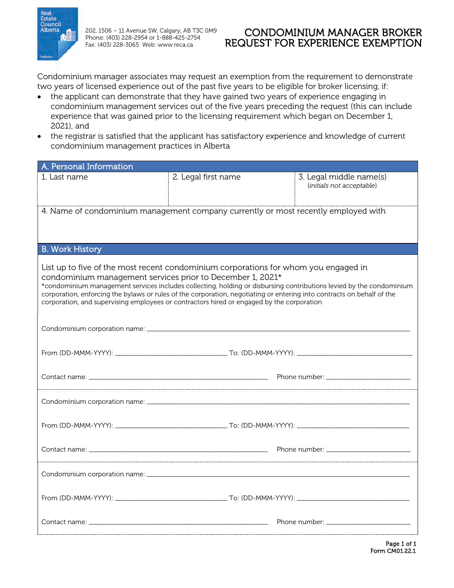

202, 1506 – 11 Avenue SW, Calgary, AB T3C 0M9 Phone: (403) 228-2954 or 1-888-425-2754 Fax: (403) 228-3065 Web: www.reca.ca

## CONDOMINIUM MANAGER BROKER REQUEST FOR EXPERIENCE EXEMPTION

Condominium manager associates may request an exemption from the requirement to demonstrate two years of licensed experience out of the past five years to be eligible for broker licensing, if:

- the applicant can demonstrate that they have gained two years of experience engaging in condominium management services out of the five years preceding the request (this can include experience that was gained prior to the licensing requirement which began on December 1, 2021), and
- the registrar is satisfied that the applicant has satisfactory experience and knowledge of current condominium management practices in Alberta

| A. Personal Information                                                                                                                                                                                                                                                                                                                                                                                                                                                                         |                     |                                                      |  |
|-------------------------------------------------------------------------------------------------------------------------------------------------------------------------------------------------------------------------------------------------------------------------------------------------------------------------------------------------------------------------------------------------------------------------------------------------------------------------------------------------|---------------------|------------------------------------------------------|--|
| 1. Last name                                                                                                                                                                                                                                                                                                                                                                                                                                                                                    | 2. Legal first name | 3. Legal middle name(s)<br>(initials not acceptable) |  |
| 4. Name of condominium management company currently or most recently employed with                                                                                                                                                                                                                                                                                                                                                                                                              |                     |                                                      |  |
| <b>B. Work History</b>                                                                                                                                                                                                                                                                                                                                                                                                                                                                          |                     |                                                      |  |
| List up to five of the most recent condominium corporations for whom you engaged in<br>condominium management services prior to December 1, 2021*<br>*condominium management services includes collecting, holding or disbursing contributions levied by the condominium<br>corporation, enforcing the bylaws or rules of the corporation, negotiating or entering into contracts on behalf of the<br>corporation, and supervising employees or contractors hired or engaged by the corporation |                     |                                                      |  |
|                                                                                                                                                                                                                                                                                                                                                                                                                                                                                                 |                     |                                                      |  |
|                                                                                                                                                                                                                                                                                                                                                                                                                                                                                                 |                     |                                                      |  |
|                                                                                                                                                                                                                                                                                                                                                                                                                                                                                                 |                     |                                                      |  |
|                                                                                                                                                                                                                                                                                                                                                                                                                                                                                                 |                     |                                                      |  |
|                                                                                                                                                                                                                                                                                                                                                                                                                                                                                                 |                     |                                                      |  |
|                                                                                                                                                                                                                                                                                                                                                                                                                                                                                                 |                     |                                                      |  |
|                                                                                                                                                                                                                                                                                                                                                                                                                                                                                                 |                     |                                                      |  |
|                                                                                                                                                                                                                                                                                                                                                                                                                                                                                                 |                     |                                                      |  |
| Phone number: __________________________                                                                                                                                                                                                                                                                                                                                                                                                                                                        |                     |                                                      |  |